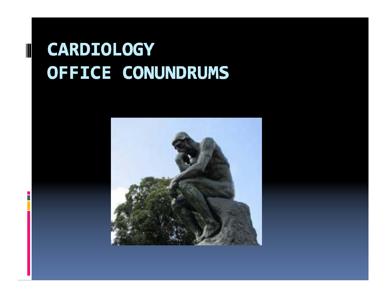# **CARDIOLOGY** OFFICE CONUNDRUMS

П

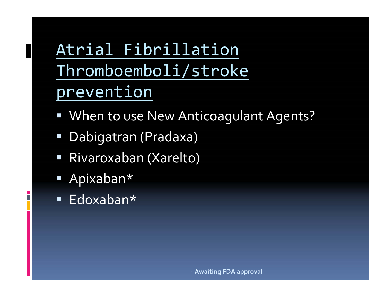# Atrial Fibrillation Thromboemboli/stroke prevention

- " When to use New Anticoagulant Agents?
- Dabigatran (Pradaxa)
- Rivaroxaban (Xarelto)
- Apixaban\*
- Edoxaban\*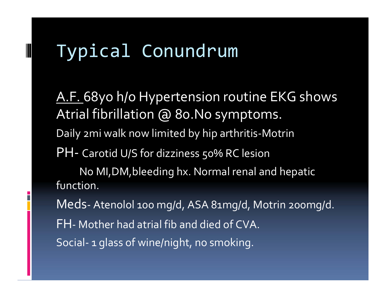# Typical Conundrum

<u>A.F. </u>68yo h/o Hypertension routine EKG shows Atrial fibrillation @ 80.No symptoms. Daily 2mi walk now limited by hip arthritis‐Motrin PH‐ Carotid U/S for dizziness 50% RC lesion No MI,DM,bleeding hx. Normal renal and hepatic function. Meds‐ Atenolol <sup>100</sup> mg/d, ASA 81mg/d, Motrin 200mg/d. FH‐ Mother had atrial fib and died of CVA. Social‐ 1 glass of wine/night, no smoking.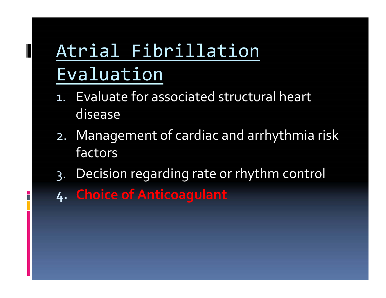# Atrial Fibrillation Evaluation

- 1. Evaluate for associated structural heart disease
- 2. Management of cardiac and arrhythmia risk factors
- 3. Decision regarding rate or rhythm control
- **4. Choice of Anticoagulant**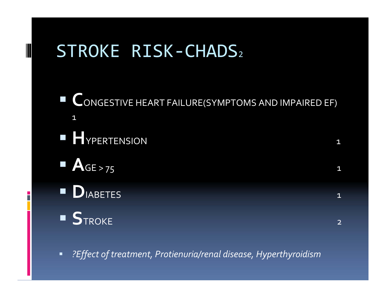## STROKE RISK‐CHADS2

**CONGESTIVE HEART FAILURE(SYMPTOMS AND IMPAIRED EF)** 1**H**YPERTENSION  $\mathsf N$  1 **A**GE $\mathsf{L} > 75$  1 **D**IABETES 1 **S**TROKE 2

 $\blacksquare$ *?Effect of treatment, Protienuria/renal disease, Hyperthyroidism*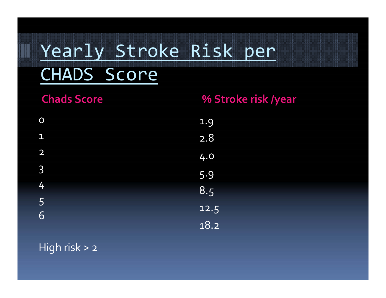# Yearly Stroke Risk per CHADS Score

| <b>Chads Score</b> | % Stroke risk /year |
|--------------------|---------------------|
| $\overline{O}$     | 1.9                 |
| $\overline{1}$     | 2.8                 |
| $\overline{2}$     | 4.0                 |
| $\mathsf{3}$       | 5.9                 |
| 4                  | 8.5                 |
| $5\overline{)}$    | 12.5                |
| 6                  | 18.2                |

High risk <sup>&</sup>gt; <sup>2</sup>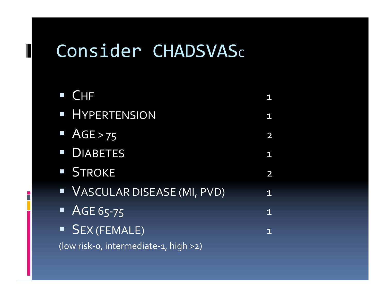### Consider CHADSVAS $\mathsf c$

| $\blacksquare$ CHF                    |             |
|---------------------------------------|-------------|
| · HYPERTENSION                        | 1           |
| $\triangle$ AGE > 75                  | 2           |
| <b>DIABETES</b>                       | 1           |
| STROKE                                | 2           |
| VASCULAR DISEASE (MI, PVD)            | $\mathbf 1$ |
| $\overline{AGE65-75}$                 | $\mathbf 1$ |
| <b>SEX (FEMALE)</b>                   | 1           |
| (low risk-o, intermediate-1, high >2) |             |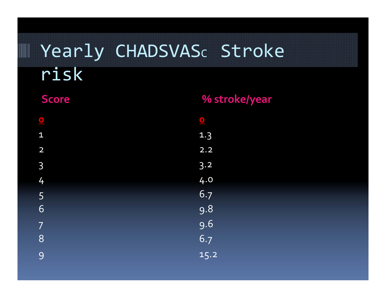# Yearly CHADSVASc Stroke risk

| % stroke/year         |
|-----------------------|
| $\boxed{\phantom{1}}$ |
| 1.3                   |
| 2.2                   |
| 3.2                   |
| 4.0                   |
| 6.7                   |
| 9.8                   |
| 9.6                   |
| 6.7                   |
| 15.2                  |
|                       |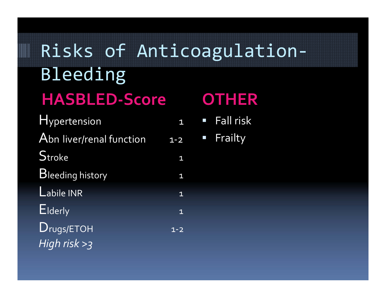# Risks of Anticoagulation‐ Bleeding  $HASBLED-Score$

| Hypertension             |                |
|--------------------------|----------------|
| Abn liver/renal function | $1 - 2$        |
| Stroke                   | $\mathbf{1}$   |
| <b>Bleeding history</b>  | $\mathbf{1}$   |
| $L$ abile INR            | $\overline{1}$ |
| Elderly                  | $\overline{1}$ |
| Drugs/ETOH               | $1 - 2$        |
| High risk $>3$           |                |

#### OTHER

- $\mathcal{L}_{\mathcal{A}}$ ■ Fall risk
- Frailty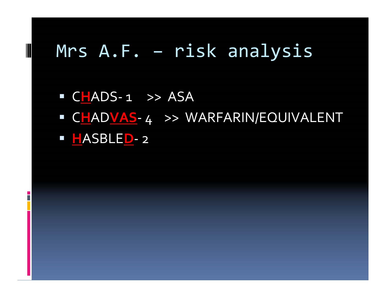#### Mrs A.F. – risk analysis

F.

■ CHADS-1 >> ASA C**H**AD**VAS**‐ 4 >> WARFARIN/EQUIVALENT **H**ASBLE**D**‐ <sup>2</sup>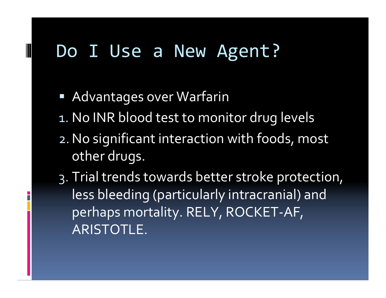### Do I Use <sup>a</sup> New Agent?

- Advantages over Warfarin
- 1. No INR blood test to monitor drug levels
- 2.No significant interaction with foods, most other drugs.
- 3. Trial trends towards better stroke protection, less bleeding (particularly intracranial) and perhaps mortality. RELY, ROCKET‐AF, ARISTOTLE.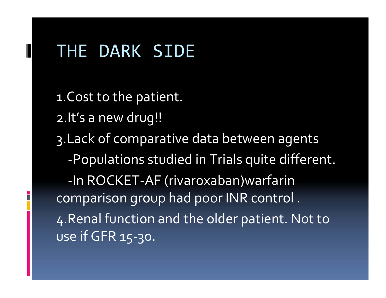### THE DARK SIDE

1.Cost to the patient. 2.It's a new drug!! 3.Lack of comparative data between agents ‐Populations studied in Trials quite different. ‐In ROCKET‐AF (rivaroxaban)warfarin comparison group had poor INR control . 4.Renal function and the older patient. Not to use if GFR 15‐30.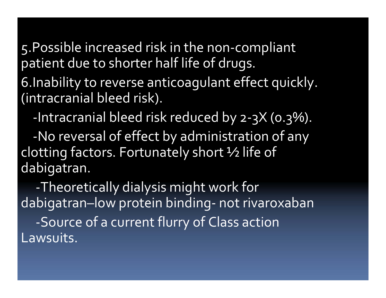5. Possible increased risk in the non-compliant patient due to shorter half life of drugs.

6. Inability to reverse anticoagulant effect quickly. (intracranial bleed risk).

-Intracranial bleed risk reduced by 2-3X (0.3%).

-No reversal of effect by administration of any clotting factors. Fortunately short 1/2 life of dabigatran.

-Theoretically dialysis might work for dabigatran-low protein binding- not rivaroxaban -Source of a current flurry of Class action Lawsuits.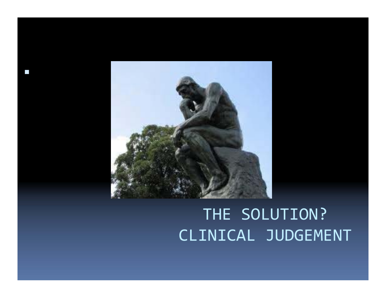

 $\mathcal{L}_{\mathcal{A}}$ 

## THE SOLUTION? CLINICAL JUDGEMENT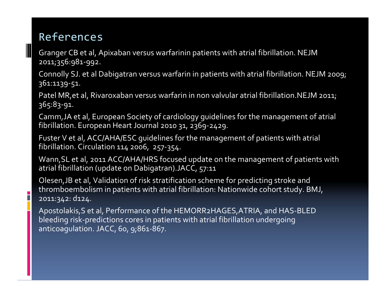#### References

Granger CB et al, Apixaban versus warfarinin patients with atrial fibrillation. NEJM 2011;356:981‐992.

Connolly SJ. et al Dabigatran versus warfarin in patients with atrial fibrillation. NEJM 2009; 361:1139‐51.

Patel MR,et al, Rivaroxaban versus warfarin in non valvular atrial fibrillation.NEJM 2011; 365:83‐91.

Camm,JA et al, European Society of cardiology guidelines for the managemen<sup>t</sup> of atrial fibrillation. European Heart Journal <sup>2010</sup> 31, 2369‐2429.

Fuster V et al, ACC/AHA/ESC guidelines for the managemen<sup>t</sup> of patients with atrial fibrillation. Circulation 114 2006, 257‐354.

Wann,SL et al, <sup>2011</sup> ACC/AHA/HRS focused update on the managemen<sup>t</sup> of patients with atrial fibrillation (update on Dabigatran).JACC, 57:11

Olesen,JB et al, Validation of risk stratification scheme for predicting stroke and thromboembolism in patients with atrial fibrillation: Nationwide cohort study. BMJ, 2011:342: d124.

Apostolakis,S et al, Performance of the HEMORR2HAGES,ATRIA, and HAS‐BLED bleeding risk‐predictions cores in patients with atrial fibrillation undergoing anticoagulation. JACC, 60, 9;861‐867.